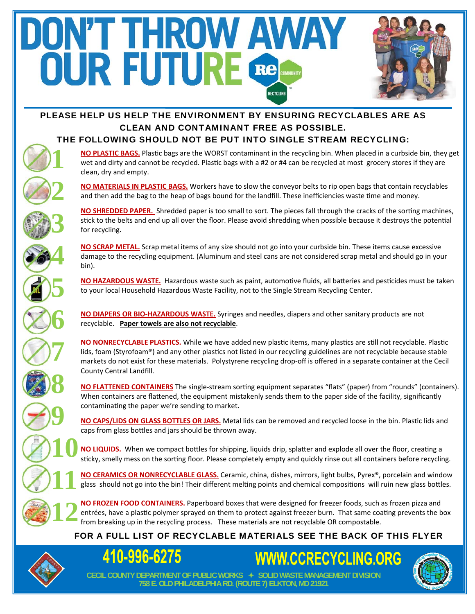# DN'T THROW AWAY OUR FUTURE Re RECYCLING

## PLEASE HELP US HELP THE ENVIRONMENT BY ENSURING RECYCLABLES ARE AS CLEAN AND CONTAMINANT FREE AS POSSIBLE.

#### THE FOLLOWING SHOULD NOT BE PUT INTO SINGLE STREAM RECYCLING:

**NO PLASTIC BAGS.** Plastic bags are the WORST contaminant in the recycling bin. When placed in a curbside bin, they get wet and dirty and cannot be recycled. Plastic bags with a #2 or #4 can be recycled at most grocery stores if they are clean, dry and empty.

**NO MATERIALS IN PLASTIC BAGS.** Workers have to slow the conveyor belts to rip open bags that contain recyclables and then add the bag to the heap of bags bound for the landfill. These inefficiencies waste time and money.

**NO SHREDDED PAPER.** Shredded paper is too small to sort. The pieces fall through the cracks of the sorting machines, stick to the belts and end up all over the floor. Please avoid shredding when possible because it destroys the potential for recycling.

**NO SCRAP METAL.** Scrap metal items of any size should not go into your curbside bin. These items cause excessive damage to the recycling equipment. (Aluminum and steel cans are not considered scrap metal and should go in your bin).

**NO HAZARDOUS WASTE.** Hazardous waste such as paint, automotive fluids, all batteries and pesticides must be taken to your local Household Hazardous Waste Facility, not to the Single Stream Recycling Center.

**NO DIAPERS OR BIO‐HAZARDOUS WASTE.** Syringes and needles, diapers and other sanitary products are not recyclable. **Paper towels are also not recyclable**.

**NO NONRECYCLABLE PLASTICS.** While we have added new plastic items, many plastics are still not recyclable. Plastic lids, foam (Styrofoam®) and any other plastics not listed in our recycling guidelines are not recyclable because stable markets do not exist for these materials. Polystyrene recycling drop‐off is offered in a separate container at the Cecil County Central Landfill.

NO FLATTENED CONTAINERS The single-stream sorting equipment separates "flats" (paper) from "rounds" (containers). When containers are flattened, the equipment mistakenly sends them to the paper side of the facility, significantly contaminating the paper we're sending to market.

NO CAPS/LIDS ON GLASS BOTTLES OR JARS. Metal lids can be removed and recycled loose in the bin. Plastic lids and caps from glass bottles and jars should be thrown away.

**10 NO LIQUIDS.** When we compact bottles for shipping, liquids drip, splatter and explode all over the floor, creating a sticky, smelly mess on the sorting floor. Please completely empty and quickly rinse out all containers before recycling.

**11 NO CERAMICS OR NONRECYCLABLE GLASS.** Ceramic, china, dishes, mirrors, light bulbs, Pyrex®, porcelain and window glass should not go into the bin! Their different melting points and chemical compositions will ruin new glass bottles.

 $12 \frac{N}{\text{ft}}$ **NO FROZEN FOOD CONTAINERS.** Paperboard boxes that were designed for freezer foods, such as frozen pizza and entrées, have a plastic polymer sprayed on them to protect against freezer burn. That same coating prevents the box from breaking up in the recycling process. These materials are not recyclable OR compostable.

## FOR A FULL LIST OF RECYCLABLE MATERIALS SEE THE BACK OF THIS FLYER

**758 E. OLD PHILADELPHIA RD. (ROUTE 7) ELKTON, MD 21921** 



**1** 

**2** 

**3** 

**4** 

**5** 

**6** 

**7** 

**8** 

**9** 



**WWW.CCRECYCLING.ORG CECIL COUNTY DEPARTMENT OF PUBLIC WORKS SOLID WASTE MANAGEMENT DIVISION**